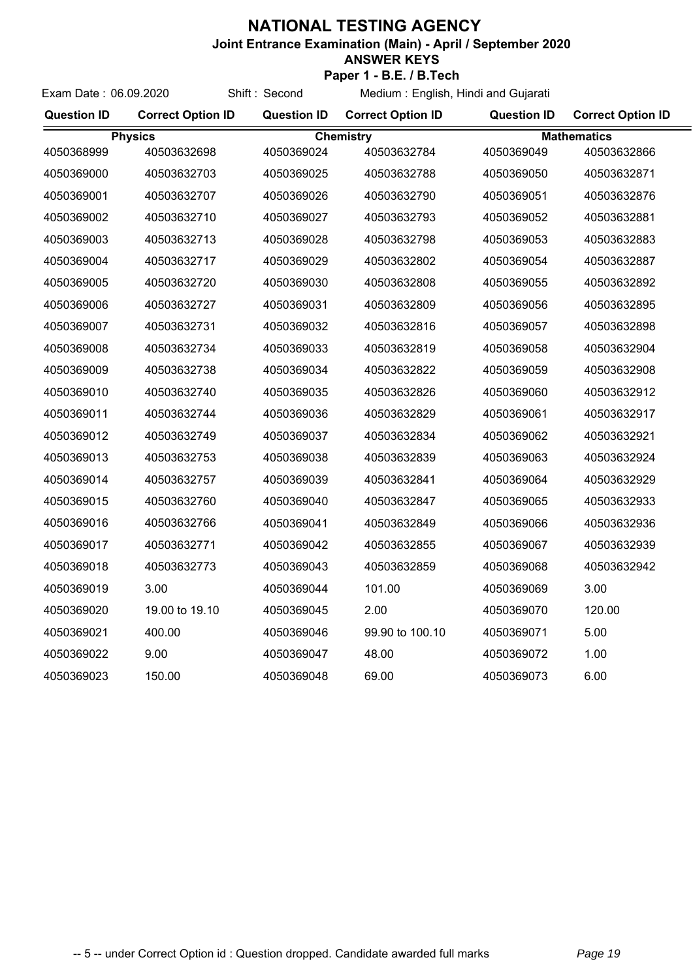## **NATIONAL TESTING AGENCY**

**Joint Entrance Examination (Main) - April / September 2020**

## **ANSWER KEYS**

**Paper 1 - B.E. / B.Tech** Medium : English, Hindi and Gujarati

| Exam Date: 06.09.2020 |                          | Shift: Second      | Medium: English, Hindi and Gujarati |                    |                          |  |
|-----------------------|--------------------------|--------------------|-------------------------------------|--------------------|--------------------------|--|
| <b>Question ID</b>    | <b>Correct Option ID</b> | <b>Question ID</b> | <b>Correct Option ID</b>            | <b>Question ID</b> | <b>Correct Option ID</b> |  |
|                       | <b>Physics</b>           |                    | <b>Chemistry</b>                    |                    | <b>Mathematics</b>       |  |
| 4050368999            | 40503632698              | 4050369024         | 40503632784                         | 4050369049         | 40503632866              |  |
| 4050369000            | 40503632703              | 4050369025         | 40503632788                         | 4050369050         | 40503632871              |  |
| 4050369001            | 40503632707              | 4050369026         | 40503632790                         | 4050369051         | 40503632876              |  |
| 4050369002            | 40503632710              | 4050369027         | 40503632793                         | 4050369052         | 40503632881              |  |
| 4050369003            | 40503632713              | 4050369028         | 40503632798                         | 4050369053         | 40503632883              |  |
| 4050369004            | 40503632717              | 4050369029         | 40503632802                         | 4050369054         | 40503632887              |  |
| 4050369005            | 40503632720              | 4050369030         | 40503632808                         | 4050369055         | 40503632892              |  |
| 4050369006            | 40503632727              | 4050369031         | 40503632809                         | 4050369056         | 40503632895              |  |
| 4050369007            | 40503632731              | 4050369032         | 40503632816                         | 4050369057         | 40503632898              |  |
| 4050369008            | 40503632734              | 4050369033         | 40503632819                         | 4050369058         | 40503632904              |  |
| 4050369009            | 40503632738              | 4050369034         | 40503632822                         | 4050369059         | 40503632908              |  |
| 4050369010            | 40503632740              | 4050369035         | 40503632826                         | 4050369060         | 40503632912              |  |
| 4050369011            | 40503632744              | 4050369036         | 40503632829                         | 4050369061         | 40503632917              |  |
| 4050369012            | 40503632749              | 4050369037         | 40503632834                         | 4050369062         | 40503632921              |  |
| 4050369013            | 40503632753              | 4050369038         | 40503632839                         | 4050369063         | 40503632924              |  |
| 4050369014            | 40503632757              | 4050369039         | 40503632841                         | 4050369064         | 40503632929              |  |
| 4050369015            | 40503632760              | 4050369040         | 40503632847                         | 4050369065         | 40503632933              |  |
| 4050369016            | 40503632766              | 4050369041         | 40503632849                         | 4050369066         | 40503632936              |  |
| 4050369017            | 40503632771              | 4050369042         | 40503632855                         | 4050369067         | 40503632939              |  |
| 4050369018            | 40503632773              | 4050369043         | 40503632859                         | 4050369068         | 40503632942              |  |
| 4050369019            | 3.00                     | 4050369044         | 101.00                              | 4050369069         | 3.00                     |  |
| 4050369020            | 19.00 to 19.10           | 4050369045         | 2.00                                | 4050369070         | 120.00                   |  |
| 4050369021            | 400.00                   | 4050369046         | 99.90 to 100.10                     | 4050369071         | 5.00                     |  |
| 4050369022            | 9.00                     | 4050369047         | 48.00                               | 4050369072         | 1.00                     |  |
| 4050369023            | 150.00                   | 4050369048         | 69.00                               | 4050369073         | 6.00                     |  |